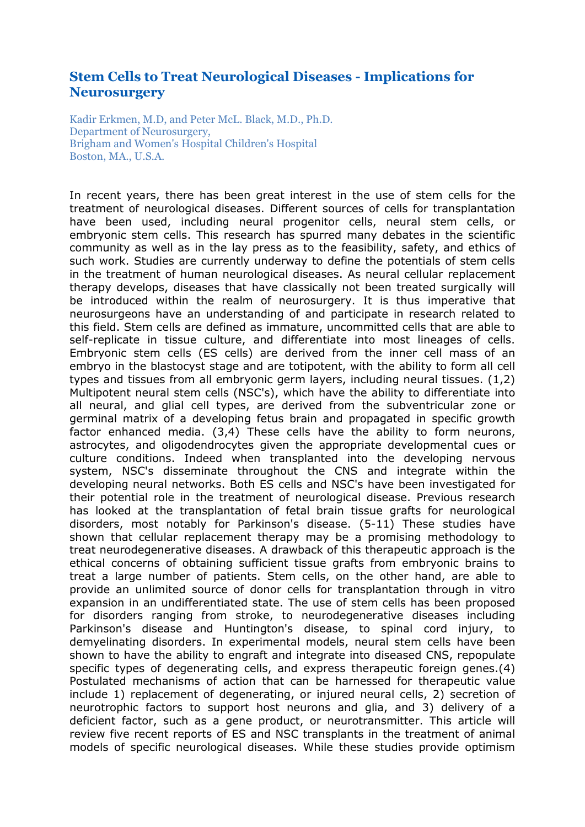## **Stem Cells to Treat Neurological Diseases - Implications for Neurosurgery**

Kadir Erkmen, M.D, and Peter McL. Black, M.D., Ph.D. Department of Neurosurgery, Brigham and Women's Hospital Children's Hospital Boston, MA., U.S.A.

In recent years, there has been great interest in the use of stem cells for the treatment of neurological diseases. Different sources of cells for transplantation have been used, including neural progenitor cells, neural stem cells, or embryonic stem cells. This research has spurred many debates in the scientific community as well as in the lay press as to the feasibility, safety, and ethics of such work. Studies are currently underway to define the potentials of stem cells in the treatment of human neurological diseases. As neural cellular replacement therapy develops, diseases that have classically not been treated surgically will be introduced within the realm of neurosurgery. It is thus imperative that neurosurgeons have an understanding of and participate in research related to this field. Stem cells are defined as immature, uncommitted cells that are able to self-replicate in tissue culture, and differentiate into most lineages of cells. Embryonic stem cells (ES cells) are derived from the inner cell mass of an embryo in the blastocyst stage and are totipotent, with the ability to form all cell types and tissues from all embryonic germ layers, including neural tissues. (1,2) Multipotent neural stem cells (NSC's), which have the ability to differentiate into all neural, and glial cell types, are derived from the subventricular zone or germinal matrix of a developing fetus brain and propagated in specific growth factor enhanced media. (3,4) These cells have the ability to form neurons, astrocytes, and oligodendrocytes given the appropriate developmental cues or culture conditions. Indeed when transplanted into the developing nervous system, NSC's disseminate throughout the CNS and integrate within the developing neural networks. Both ES cells and NSC's have been investigated for their potential role in the treatment of neurological disease. Previous research has looked at the transplantation of fetal brain tissue grafts for neurological disorders, most notably for Parkinson's disease. (5-11) These studies have shown that cellular replacement therapy may be a promising methodology to treat neurodegenerative diseases. A drawback of this therapeutic approach is the ethical concerns of obtaining sufficient tissue grafts from embryonic brains to treat a large number of patients. Stem cells, on the other hand, are able to provide an unlimited source of donor cells for transplantation through in vitro expansion in an undifferentiated state. The use of stem cells has been proposed for disorders ranging from stroke, to neurodegenerative diseases including Parkinson's disease and Huntington's disease, to spinal cord injury, to demyelinating disorders. In experimental models, neural stem cells have been shown to have the ability to engraft and integrate into diseased CNS, repopulate specific types of degenerating cells, and express therapeutic foreign genes.(4) Postulated mechanisms of action that can be harnessed for therapeutic value include 1) replacement of degenerating, or injured neural cells, 2) secretion of neurotrophic factors to support host neurons and glia, and 3) delivery of a deficient factor, such as a gene product, or neurotransmitter. This article will review five recent reports of ES and NSC transplants in the treatment of animal models of specific neurological diseases. While these studies provide optimism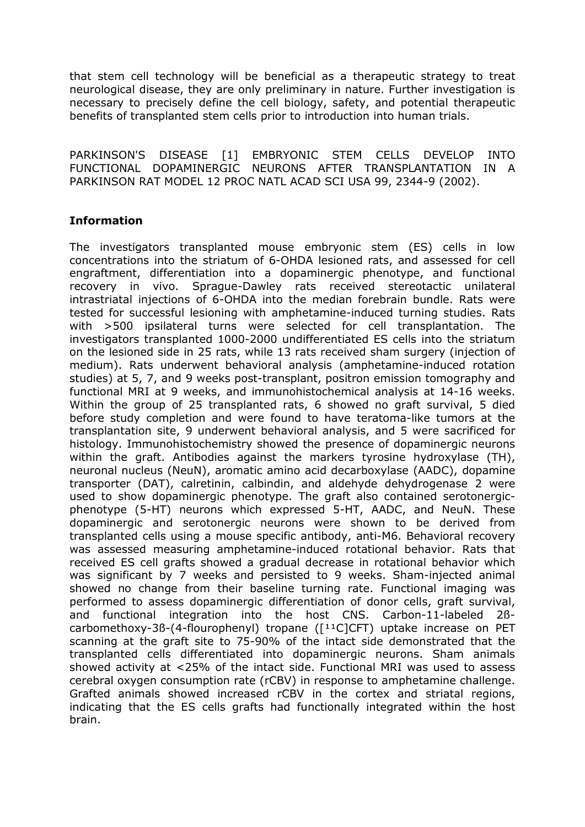that stem cell technology will be beneficial as a therapeutic strategy to treat neurological disease, they are only preliminary in nature. Further investigation is necessary to precisely define the cell biology, safety, and potential therapeutic benefits of transplanted stem cells prior to introduction into human trials.

PARKINSON'S DISEASE [1] EMBRYONIC STEM CELLS DEVELOP INTO FUNCTIONAL DOPAMINERGIC NEURONS AFTER TRANSPLANTATION IN A PARKINSON RAT MODEL 12 PROC NATL ACAD SCI USA 99, 2344-9 (2002).

### **Information**

The investigators transplanted mouse embryonic stem (ES) cells in low concentrations into the striatum of 6-OHDA lesioned rats, and assessed for cell engraftment, differentiation into a dopaminergic phenotype, and functional recovery in vivo. Sprague-Dawley rats received stereotactic unilateral intrastriatal injections of 6-OHDA into the median forebrain bundle. Rats were tested for successful lesioning with amphetamine-induced turning studies. Rats with >500 ipsilateral turns were selected for cell transplantation. The investigators transplanted 1000-2000 undifferentiated ES cells into the striatum on the lesioned side in 25 rats, while 13 rats received sham surgery (injection of medium). Rats underwent behavioral analysis (amphetamine-induced rotation studies) at 5, 7, and 9 weeks post-transplant, positron emission tomography and functional MRI at 9 weeks, and immunohistochemical analysis at 14-16 weeks. Within the group of 25 transplanted rats, 6 showed no graft survival, 5 died before study completion and were found to have teratoma-like tumors at the transplantation site, 9 underwent behavioral analysis, and 5 were sacrificed for histology. Immunohistochemistry showed the presence of dopaminergic neurons within the graft. Antibodies against the markers tyrosine hydroxylase (TH), neuronal nucleus (NeuN), aromatic amino acid decarboxylase (AADC), dopamine transporter (DAT), calretinin, calbindin, and aldehyde dehydrogenase 2 were used to show dopaminergic phenotype. The graft also contained serotonergicphenotype (5-HT) neurons which expressed 5-HT, AADC, and NeuN. These dopaminergic and serotonergic neurons were shown to be derived from transplanted cells using a mouse specific antibody, anti-M6. Behavioral recovery was assessed measuring amphetamine-induced rotational behavior. Rats that received ES cell grafts showed a gradual decrease in rotational behavior which was significant by 7 weeks and persisted to 9 weeks. Sham-injected animal showed no change from their baseline turning rate. Functional imaging was performed to assess dopaminergic differentiation of donor cells, graft survival, and functional integration into the host CNS. Carbon-11-labeled 2ßcarbomethoxy-3ß-(4-flourophenyl) tropane ( $[11C]CFT$ ) uptake increase on PET scanning at the graft site to 75-90% of the intact side demonstrated that the transplanted cells differentiated into dopaminergic neurons. Sham animals showed activity at <25% of the intact side. Functional MRI was used to assess cerebral oxygen consumption rate (rCBV) in response to amphetamine challenge. Grafted animals showed increased rCBV in the cortex and striatal regions, indicating that the ES cells grafts had functionally integrated within the host brain.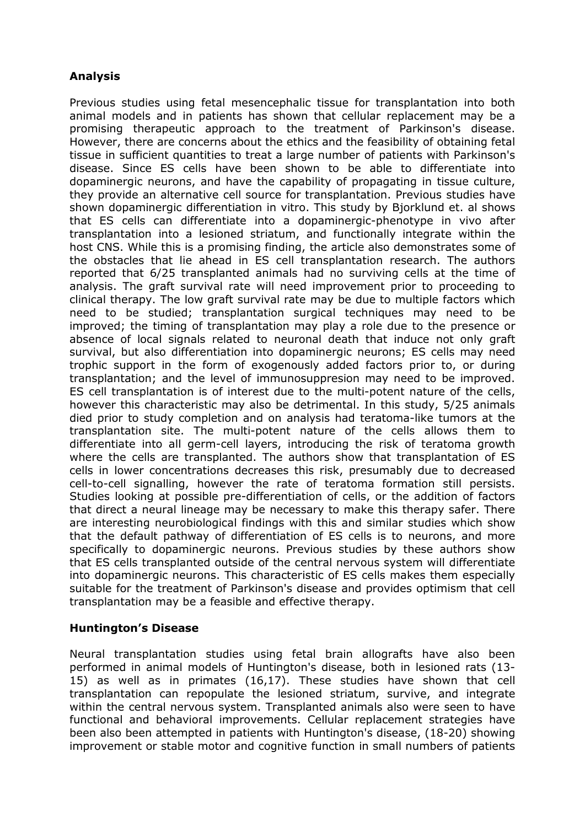# **Analysis**

Previous studies using fetal mesencephalic tissue for transplantation into both animal models and in patients has shown that cellular replacement may be a promising therapeutic approach to the treatment of Parkinson's disease. However, there are concerns about the ethics and the feasibility of obtaining fetal tissue in sufficient quantities to treat a large number of patients with Parkinson's disease. Since ES cells have been shown to be able to differentiate into dopaminergic neurons, and have the capability of propagating in tissue culture, they provide an alternative cell source for transplantation. Previous studies have shown dopaminergic differentiation in vitro. This study by Bjorklund et. al shows that ES cells can differentiate into a dopaminergic-phenotype in vivo after transplantation into a lesioned striatum, and functionally integrate within the host CNS. While this is a promising finding, the article also demonstrates some of the obstacles that lie ahead in ES cell transplantation research. The authors reported that 6/25 transplanted animals had no surviving cells at the time of analysis. The graft survival rate will need improvement prior to proceeding to clinical therapy. The low graft survival rate may be due to multiple factors which need to be studied; transplantation surgical techniques may need to be improved; the timing of transplantation may play a role due to the presence or absence of local signals related to neuronal death that induce not only graft survival, but also differentiation into dopaminergic neurons; ES cells may need trophic support in the form of exogenously added factors prior to, or during transplantation; and the level of immunosuppresion may need to be improved. ES cell transplantation is of interest due to the multi-potent nature of the cells, however this characteristic may also be detrimental. In this study, 5/25 animals died prior to study completion and on analysis had teratoma-like tumors at the transplantation site. The multi-potent nature of the cells allows them to differentiate into all germ-cell layers, introducing the risk of teratoma growth where the cells are transplanted. The authors show that transplantation of ES cells in lower concentrations decreases this risk, presumably due to decreased cell-to-cell signalling, however the rate of teratoma formation still persists. Studies looking at possible pre-differentiation of cells, or the addition of factors that direct a neural lineage may be necessary to make this therapy safer. There are interesting neurobiological findings with this and similar studies which show that the default pathway of differentiation of ES cells is to neurons, and more specifically to dopaminergic neurons. Previous studies by these authors show that ES cells transplanted outside of the central nervous system will differentiate into dopaminergic neurons. This characteristic of ES cells makes them especially suitable for the treatment of Parkinson's disease and provides optimism that cell transplantation may be a feasible and effective therapy.

### **Huntington's Disease**

Neural transplantation studies using fetal brain allografts have also been performed in animal models of Huntington's disease, both in lesioned rats (13- 15) as well as in primates (16,17). These studies have shown that cell transplantation can repopulate the lesioned striatum, survive, and integrate within the central nervous system. Transplanted animals also were seen to have functional and behavioral improvements. Cellular replacement strategies have been also been attempted in patients with Huntington's disease, (18-20) showing improvement or stable motor and cognitive function in small numbers of patients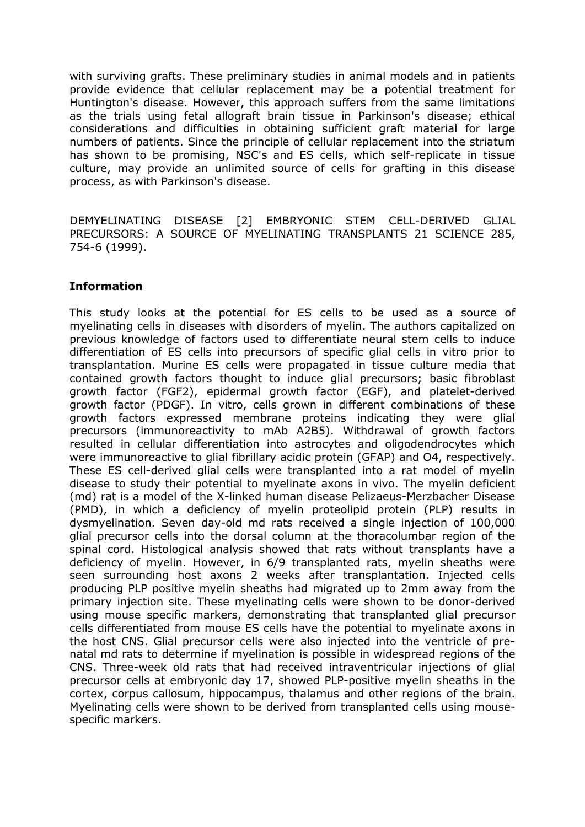with surviving grafts. These preliminary studies in animal models and in patients provide evidence that cellular replacement may be a potential treatment for Huntington's disease. However, this approach suffers from the same limitations as the trials using fetal allograft brain tissue in Parkinson's disease; ethical considerations and difficulties in obtaining sufficient graft material for large numbers of patients. Since the principle of cellular replacement into the striatum has shown to be promising, NSC's and ES cells, which self-replicate in tissue culture, may provide an unlimited source of cells for grafting in this disease process, as with Parkinson's disease.

DEMYELINATING DISEASE [2] EMBRYONIC STEM CELL-DERIVED GLIAL PRECURSORS: A SOURCE OF MYELINATING TRANSPLANTS 21 SCIENCE 285, 754-6 (1999).

### **Information**

This study looks at the potential for ES cells to be used as a source of myelinating cells in diseases with disorders of myelin. The authors capitalized on previous knowledge of factors used to differentiate neural stem cells to induce differentiation of ES cells into precursors of specific glial cells in vitro prior to transplantation. Murine ES cells were propagated in tissue culture media that contained growth factors thought to induce glial precursors; basic fibroblast growth factor (FGF2), epidermal growth factor (EGF), and platelet-derived growth factor (PDGF). In vitro, cells grown in different combinations of these growth factors expressed membrane proteins indicating they were glial precursors (immunoreactivity to mAb A2B5). Withdrawal of growth factors resulted in cellular differentiation into astrocytes and oligodendrocytes which were immunoreactive to glial fibrillary acidic protein (GFAP) and O4, respectively. These ES cell-derived glial cells were transplanted into a rat model of myelin disease to study their potential to myelinate axons in vivo. The myelin deficient (md) rat is a model of the X-linked human disease Pelizaeus-Merzbacher Disease (PMD), in which a deficiency of myelin proteolipid protein (PLP) results in dysmyelination. Seven day-old md rats received a single injection of 100,000 glial precursor cells into the dorsal column at the thoracolumbar region of the spinal cord. Histological analysis showed that rats without transplants have a deficiency of myelin. However, in 6/9 transplanted rats, myelin sheaths were seen surrounding host axons 2 weeks after transplantation. Injected cells producing PLP positive myelin sheaths had migrated up to 2mm away from the primary injection site. These myelinating cells were shown to be donor-derived using mouse specific markers, demonstrating that transplanted glial precursor cells differentiated from mouse ES cells have the potential to myelinate axons in the host CNS. Glial precursor cells were also injected into the ventricle of prenatal md rats to determine if myelination is possible in widespread regions of the CNS. Three-week old rats that had received intraventricular injections of glial precursor cells at embryonic day 17, showed PLP-positive myelin sheaths in the cortex, corpus callosum, hippocampus, thalamus and other regions of the brain. Myelinating cells were shown to be derived from transplanted cells using mousespecific markers.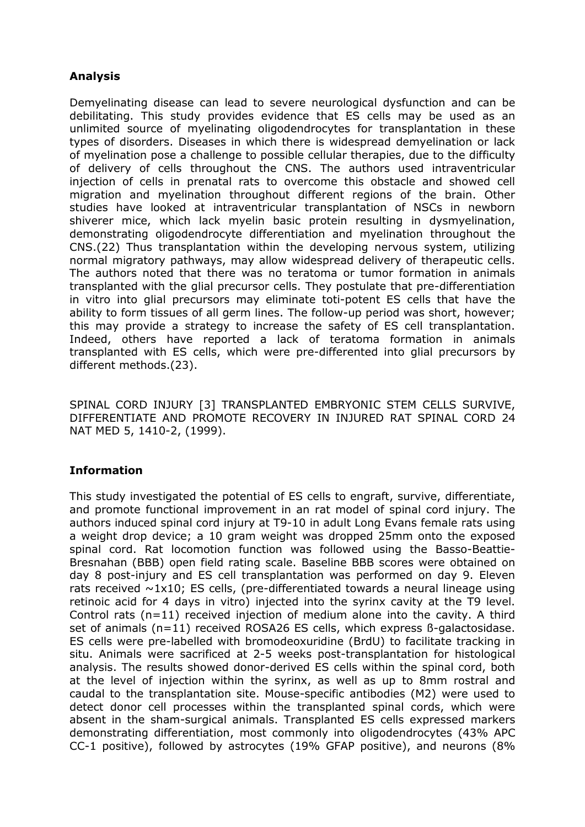# **Analysis**

Demyelinating disease can lead to severe neurological dysfunction and can be debilitating. This study provides evidence that ES cells may be used as an unlimited source of myelinating oligodendrocytes for transplantation in these types of disorders. Diseases in which there is widespread demyelination or lack of myelination pose a challenge to possible cellular therapies, due to the difficulty of delivery of cells throughout the CNS. The authors used intraventricular injection of cells in prenatal rats to overcome this obstacle and showed cell migration and myelination throughout different regions of the brain. Other studies have looked at intraventricular transplantation of NSCs in newborn shiverer mice, which lack myelin basic protein resulting in dysmyelination, demonstrating oligodendrocyte differentiation and myelination throughout the CNS.(22) Thus transplantation within the developing nervous system, utilizing normal migratory pathways, may allow widespread delivery of therapeutic cells. The authors noted that there was no teratoma or tumor formation in animals transplanted with the glial precursor cells. They postulate that pre-differentiation in vitro into glial precursors may eliminate toti-potent ES cells that have the ability to form tissues of all germ lines. The follow-up period was short, however; this may provide a strategy to increase the safety of ES cell transplantation. Indeed, others have reported a lack of teratoma formation in animals transplanted with ES cells, which were pre-differented into glial precursors by different methods.(23).

SPINAL CORD INJURY [3] TRANSPLANTED EMBRYONIC STEM CELLS SURVIVE, DIFFERENTIATE AND PROMOTE RECOVERY IN INJURED RAT SPINAL CORD 24 NAT MED 5, 1410-2, (1999).

### **Information**

This study investigated the potential of ES cells to engraft, survive, differentiate, and promote functional improvement in an rat model of spinal cord injury. The authors induced spinal cord injury at T9-10 in adult Long Evans female rats using a weight drop device; a 10 gram weight was dropped 25mm onto the exposed spinal cord. Rat locomotion function was followed using the Basso-Beattie-Bresnahan (BBB) open field rating scale. Baseline BBB scores were obtained on day 8 post-injury and ES cell transplantation was performed on day 9. Eleven rats received  $\sim$ 1x10; ES cells, (pre-differentiated towards a neural lineage using retinoic acid for 4 days in vitro) injected into the syrinx cavity at the T9 level. Control rats (n=11) received injection of medium alone into the cavity. A third set of animals (n=11) received ROSA26 ES cells, which express ß-galactosidase. ES cells were pre-labelled with bromodeoxuridine (BrdU) to facilitate tracking in situ. Animals were sacrificed at 2-5 weeks post-transplantation for histological analysis. The results showed donor-derived ES cells within the spinal cord, both at the level of injection within the syrinx, as well as up to 8mm rostral and caudal to the transplantation site. Mouse-specific antibodies (M2) were used to detect donor cell processes within the transplanted spinal cords, which were absent in the sham-surgical animals. Transplanted ES cells expressed markers demonstrating differentiation, most commonly into oligodendrocytes (43% APC CC-1 positive), followed by astrocytes (19% GFAP positive), and neurons (8%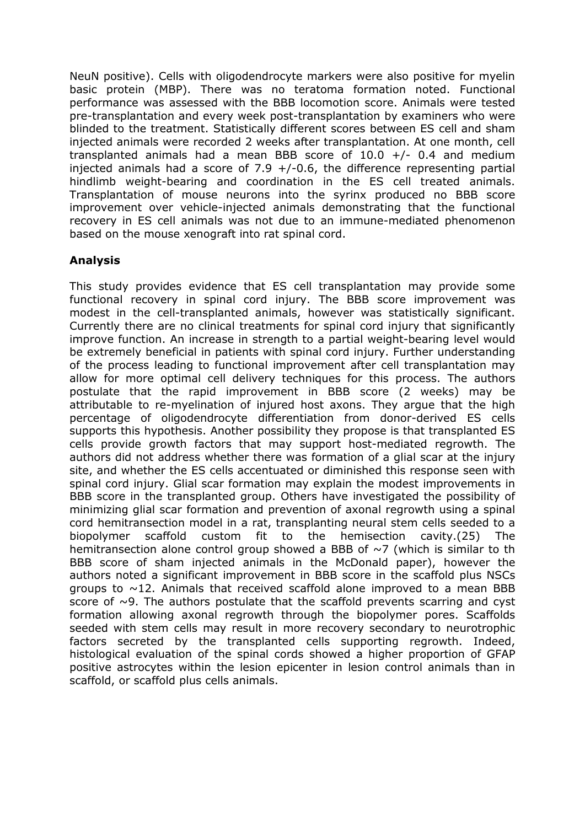NeuN positive). Cells with oligodendrocyte markers were also positive for myelin basic protein (MBP). There was no teratoma formation noted. Functional performance was assessed with the BBB locomotion score. Animals were tested pre-transplantation and every week post-transplantation by examiners who were blinded to the treatment. Statistically different scores between ES cell and sham injected animals were recorded 2 weeks after transplantation. At one month, cell transplanted animals had a mean BBB score of  $10.0 +/- 0.4$  and medium injected animals had a score of  $7.9 +/-0.6$ , the difference representing partial hindlimb weight-bearing and coordination in the ES cell treated animals. Transplantation of mouse neurons into the syrinx produced no BBB score improvement over vehicle-injected animals demonstrating that the functional recovery in ES cell animals was not due to an immune-mediated phenomenon based on the mouse xenograft into rat spinal cord.

## **Analysis**

This study provides evidence that ES cell transplantation may provide some functional recovery in spinal cord injury. The BBB score improvement was modest in the cell-transplanted animals, however was statistically significant. Currently there are no clinical treatments for spinal cord injury that significantly improve function. An increase in strength to a partial weight-bearing level would be extremely beneficial in patients with spinal cord injury. Further understanding of the process leading to functional improvement after cell transplantation may allow for more optimal cell delivery techniques for this process. The authors postulate that the rapid improvement in BBB score (2 weeks) may be attributable to re-myelination of injured host axons. They argue that the high percentage of oligodendrocyte differentiation from donor-derived ES cells supports this hypothesis. Another possibility they propose is that transplanted ES cells provide growth factors that may support host-mediated regrowth. The authors did not address whether there was formation of a glial scar at the injury site, and whether the ES cells accentuated or diminished this response seen with spinal cord injury. Glial scar formation may explain the modest improvements in BBB score in the transplanted group. Others have investigated the possibility of minimizing glial scar formation and prevention of axonal regrowth using a spinal cord hemitransection model in a rat, transplanting neural stem cells seeded to a biopolymer scaffold custom fit to the hemisection cavity.(25) The hemitransection alone control group showed a BBB of  $\sim$ 7 (which is similar to th BBB score of sham injected animals in the McDonald paper), however the authors noted a significant improvement in BBB score in the scaffold plus NSCs groups to  $\sim$ 12. Animals that received scaffold alone improved to a mean BBB score of  $\sim$ 9. The authors postulate that the scaffold prevents scarring and cyst formation allowing axonal regrowth through the biopolymer pores. Scaffolds seeded with stem cells may result in more recovery secondary to neurotrophic factors secreted by the transplanted cells supporting regrowth. Indeed, histological evaluation of the spinal cords showed a higher proportion of GFAP positive astrocytes within the lesion epicenter in lesion control animals than in scaffold, or scaffold plus cells animals.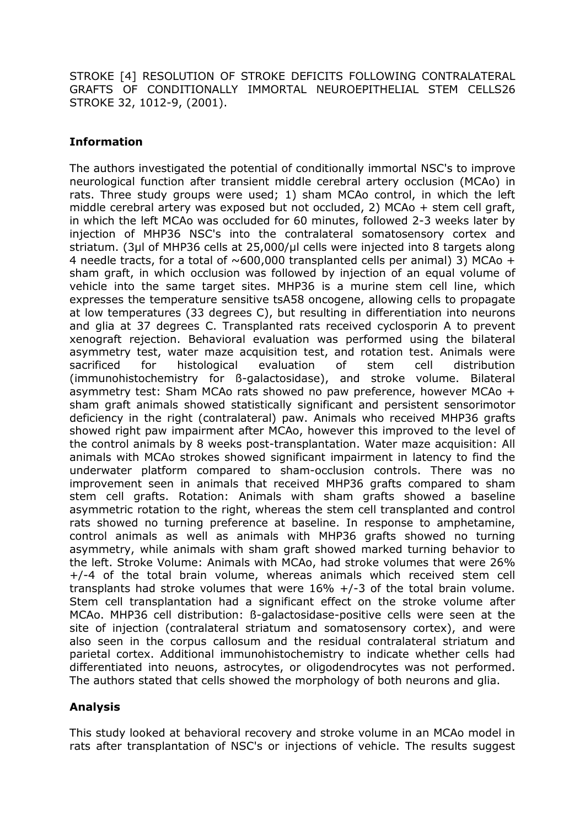STROKE [4] RESOLUTION OF STROKE DEFICITS FOLLOWING CONTRALATERAL GRAFTS OF CONDITIONALLY IMMORTAL NEUROEPITHELIAL STEM CELLS26 STROKE 32, 1012-9, (2001).

### **Information**

The authors investigated the potential of conditionally immortal NSC's to improve neurological function after transient middle cerebral artery occlusion (MCAo) in rats. Three study groups were used; 1) sham MCAo control, in which the left middle cerebral artery was exposed but not occluded, 2) MCAo + stem cell graft, in which the left MCAo was occluded for 60 minutes, followed 2-3 weeks later by injection of MHP36 NSC's into the contralateral somatosensory cortex and striatum. (3µl of MHP36 cells at 25,000/µl cells were injected into 8 targets along 4 needle tracts, for a total of  $\sim$  600,000 transplanted cells per animal) 3) MCAo + sham graft, in which occlusion was followed by injection of an equal volume of vehicle into the same target sites. MHP36 is a murine stem cell line, which expresses the temperature sensitive tsA58 oncogene, allowing cells to propagate at low temperatures (33 degrees C), but resulting in differentiation into neurons and glia at 37 degrees C. Transplanted rats received cyclosporin A to prevent xenograft rejection. Behavioral evaluation was performed using the bilateral asymmetry test, water maze acquisition test, and rotation test. Animals were sacrificed for histological evaluation of stem cell distribution (immunohistochemistry for ß-galactosidase), and stroke volume. Bilateral asymmetry test: Sham MCAo rats showed no paw preference, however MCAo + sham graft animals showed statistically significant and persistent sensorimotor deficiency in the right (contralateral) paw. Animals who received MHP36 grafts showed right paw impairment after MCAo, however this improved to the level of the control animals by 8 weeks post-transplantation. Water maze acquisition: All animals with MCAo strokes showed significant impairment in latency to find the underwater platform compared to sham-occlusion controls. There was no improvement seen in animals that received MHP36 grafts compared to sham stem cell grafts. Rotation: Animals with sham grafts showed a baseline asymmetric rotation to the right, whereas the stem cell transplanted and control rats showed no turning preference at baseline. In response to amphetamine, control animals as well as animals with MHP36 grafts showed no turning asymmetry, while animals with sham graft showed marked turning behavior to the left. Stroke Volume: Animals with MCAo, had stroke volumes that were 26% +/-4 of the total brain volume, whereas animals which received stem cell transplants had stroke volumes that were 16% +/-3 of the total brain volume. Stem cell transplantation had a significant effect on the stroke volume after MCAo. MHP36 cell distribution: ß-galactosidase-positive cells were seen at the site of injection (contralateral striatum and somatosensory cortex), and were also seen in the corpus callosum and the residual contralateral striatum and parietal cortex. Additional immunohistochemistry to indicate whether cells had differentiated into neuons, astrocytes, or oligodendrocytes was not performed. The authors stated that cells showed the morphology of both neurons and glia.

## **Analysis**

This study looked at behavioral recovery and stroke volume in an MCAo model in rats after transplantation of NSC's or injections of vehicle. The results suggest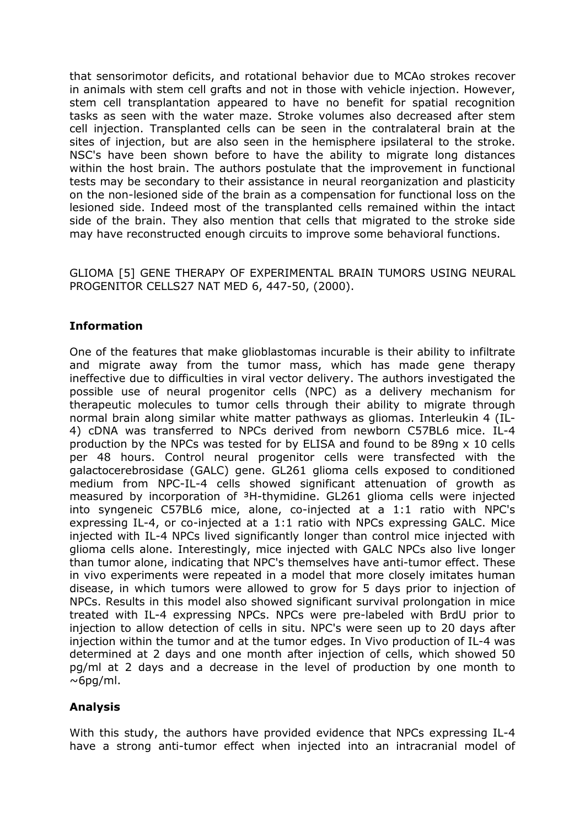that sensorimotor deficits, and rotational behavior due to MCAo strokes recover in animals with stem cell grafts and not in those with vehicle injection. However, stem cell transplantation appeared to have no benefit for spatial recognition tasks as seen with the water maze. Stroke volumes also decreased after stem cell injection. Transplanted cells can be seen in the contralateral brain at the sites of injection, but are also seen in the hemisphere ipsilateral to the stroke. NSC's have been shown before to have the ability to migrate long distances within the host brain. The authors postulate that the improvement in functional tests may be secondary to their assistance in neural reorganization and plasticity on the non-lesioned side of the brain as a compensation for functional loss on the lesioned side. Indeed most of the transplanted cells remained within the intact side of the brain. They also mention that cells that migrated to the stroke side may have reconstructed enough circuits to improve some behavioral functions.

GLIOMA [5] GENE THERAPY OF EXPERIMENTAL BRAIN TUMORS USING NEURAL PROGENITOR CELLS27 NAT MED 6, 447-50, (2000).

### **Information**

One of the features that make glioblastomas incurable is their ability to infiltrate and migrate away from the tumor mass, which has made gene therapy ineffective due to difficulties in viral vector delivery. The authors investigated the possible use of neural progenitor cells (NPC) as a delivery mechanism for therapeutic molecules to tumor cells through their ability to migrate through normal brain along similar white matter pathways as gliomas. Interleukin 4 (IL-4) cDNA was transferred to NPCs derived from newborn C57BL6 mice. IL-4 production by the NPCs was tested for by ELISA and found to be 89ng x 10 cells per 48 hours. Control neural progenitor cells were transfected with the galactocerebrosidase (GALC) gene. GL261 glioma cells exposed to conditioned medium from NPC-IL-4 cells showed significant attenuation of growth as measured by incorporation of <sup>3</sup>H-thymidine. GL261 glioma cells were injected into syngeneic C57BL6 mice, alone, co-injected at a 1:1 ratio with NPC's expressing IL-4, or co-injected at a 1:1 ratio with NPCs expressing GALC. Mice injected with IL-4 NPCs lived significantly longer than control mice injected with glioma cells alone. Interestingly, mice injected with GALC NPCs also live longer than tumor alone, indicating that NPC's themselves have anti-tumor effect. These in vivo experiments were repeated in a model that more closely imitates human disease, in which tumors were allowed to grow for 5 days prior to injection of NPCs. Results in this model also showed significant survival prolongation in mice treated with IL-4 expressing NPCs. NPCs were pre-labeled with BrdU prior to injection to allow detection of cells in situ. NPC's were seen up to 20 days after injection within the tumor and at the tumor edges. In Vivo production of IL-4 was determined at 2 days and one month after injection of cells, which showed 50 pg/ml at 2 days and a decrease in the level of production by one month to  $\sim$ 6pg/ml.

## **Analysis**

With this study, the authors have provided evidence that NPCs expressing IL-4 have a strong anti-tumor effect when injected into an intracranial model of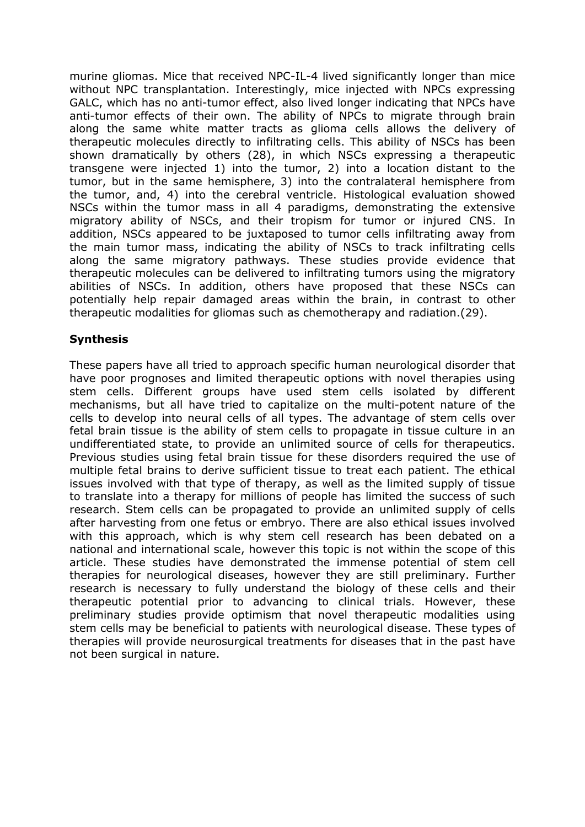murine gliomas. Mice that received NPC-IL-4 lived significantly longer than mice without NPC transplantation. Interestingly, mice injected with NPCs expressing GALC, which has no anti-tumor effect, also lived longer indicating that NPCs have anti-tumor effects of their own. The ability of NPCs to migrate through brain along the same white matter tracts as glioma cells allows the delivery of therapeutic molecules directly to infiltrating cells. This ability of NSCs has been shown dramatically by others (28), in which NSCs expressing a therapeutic transgene were injected 1) into the tumor, 2) into a location distant to the tumor, but in the same hemisphere, 3) into the contralateral hemisphere from the tumor, and, 4) into the cerebral ventricle. Histological evaluation showed NSCs within the tumor mass in all 4 paradigms, demonstrating the extensive migratory ability of NSCs, and their tropism for tumor or injured CNS. In addition, NSCs appeared to be juxtaposed to tumor cells infiltrating away from the main tumor mass, indicating the ability of NSCs to track infiltrating cells along the same migratory pathways. These studies provide evidence that therapeutic molecules can be delivered to infiltrating tumors using the migratory abilities of NSCs. In addition, others have proposed that these NSCs can potentially help repair damaged areas within the brain, in contrast to other therapeutic modalities for gliomas such as chemotherapy and radiation.(29).

### **Synthesis**

These papers have all tried to approach specific human neurological disorder that have poor prognoses and limited therapeutic options with novel therapies using stem cells. Different groups have used stem cells isolated by different mechanisms, but all have tried to capitalize on the multi-potent nature of the cells to develop into neural cells of all types. The advantage of stem cells over fetal brain tissue is the ability of stem cells to propagate in tissue culture in an undifferentiated state, to provide an unlimited source of cells for therapeutics. Previous studies using fetal brain tissue for these disorders required the use of multiple fetal brains to derive sufficient tissue to treat each patient. The ethical issues involved with that type of therapy, as well as the limited supply of tissue to translate into a therapy for millions of people has limited the success of such research. Stem cells can be propagated to provide an unlimited supply of cells after harvesting from one fetus or embryo. There are also ethical issues involved with this approach, which is why stem cell research has been debated on a national and international scale, however this topic is not within the scope of this article. These studies have demonstrated the immense potential of stem cell therapies for neurological diseases, however they are still preliminary. Further research is necessary to fully understand the biology of these cells and their therapeutic potential prior to advancing to clinical trials. However, these preliminary studies provide optimism that novel therapeutic modalities using stem cells may be beneficial to patients with neurological disease. These types of therapies will provide neurosurgical treatments for diseases that in the past have not been surgical in nature.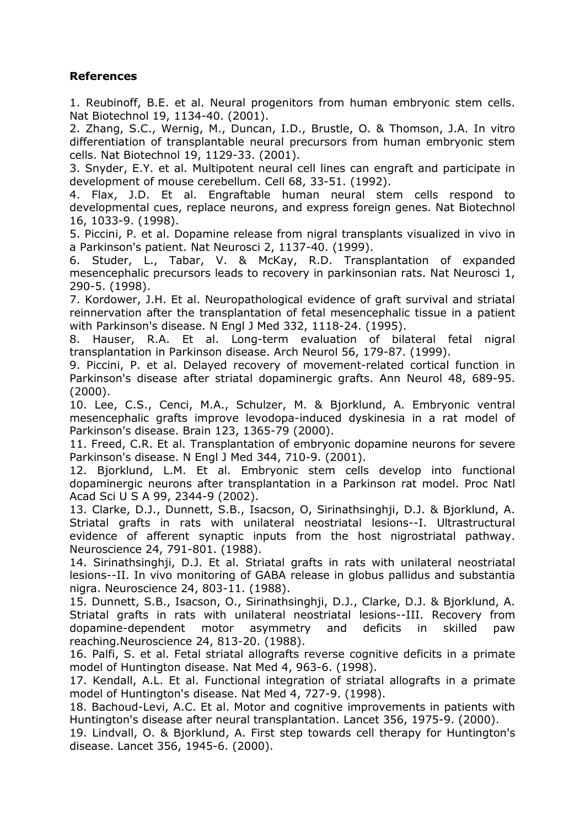### **References**

1. Reubinoff, B.E. et al. Neural progenitors from human embryonic stem cells. Nat Biotechnol 19, 1134-40. (2001).

2. Zhang, S.C., Wernig, M., Duncan, I.D., Brustle, O. & Thomson, J.A. In vitro differentiation of transplantable neural precursors from human embryonic stem cells. Nat Biotechnol 19, 1129-33. (2001).

3. Snyder, E.Y. et al. Multipotent neural cell lines can engraft and participate in development of mouse cerebellum. Cell 68, 33-51. (1992).

4. Flax, J.D. Et al. Engraftable human neural stem cells respond to developmental cues, replace neurons, and express foreign genes. Nat Biotechnol 16, 1033-9. (1998).

5. Piccini, P. et al. Dopamine release from nigral transplants visualized in vivo in a Parkinson's patient. Nat Neurosci 2, 1137-40. (1999).

6. Studer, L., Tabar, V. & McKay, R.D. Transplantation of expanded mesencephalic precursors leads to recovery in parkinsonian rats. Nat Neurosci 1, 290-5. (1998).

7. Kordower, J.H. Et al. Neuropathological evidence of graft survival and striatal reinnervation after the transplantation of fetal mesencephalic tissue in a patient with Parkinson's disease. N Engl J Med 332, 1118-24. (1995).

8. Hauser, R.A. Et al. Long-term evaluation of bilateral fetal nigral transplantation in Parkinson disease. Arch Neurol 56, 179-87. (1999).

9. Piccini, P. et al. Delayed recovery of movement-related cortical function in Parkinson's disease after striatal dopaminergic grafts. Ann Neurol 48, 689-95. (2000).

10. Lee, C.S., Cenci, M.A., Schulzer, M. & Bjorklund, A. Embryonic ventral mesencephalic grafts improve levodopa-induced dyskinesia in a rat model of Parkinson's disease. Brain 123, 1365-79 (2000).

11. Freed, C.R. Et al. Transplantation of embryonic dopamine neurons for severe Parkinson's disease. N Engl J Med 344, 710-9. (2001).

12. Bjorklund, L.M. Et al. Embryonic stem cells develop into functional dopaminergic neurons after transplantation in a Parkinson rat model. Proc Natl Acad Sci U S A 99, 2344-9 (2002).

13. Clarke, D.J., Dunnett, S.B., Isacson, O, Sirinathsinghji, D.J. & Bjorklund, A. Striatal grafts in rats with unilateral neostriatal lesions--I. Ultrastructural evidence of afferent synaptic inputs from the host nigrostriatal pathway. Neuroscience 24, 791-801. (1988).

14. Sirinathsinghji, D.J. Et al. Striatal grafts in rats with unilateral neostriatal lesions--II. In vivo monitoring of GABA release in globus pallidus and substantia nigra. Neuroscience 24, 803-11. (1988).

15. Dunnett, S.B., Isacson, O., Sirinathsinghji, D.J., Clarke, D.J. & Bjorklund, A. Striatal grafts in rats with unilateral neostriatal lesions--III. Recovery from dopamine-dependent motor asymmetry and deficits in skilled paw reaching.Neuroscience 24, 813-20. (1988).

16. Palfi, S. et al. Fetal striatal allografts reverse cognitive deficits in a primate model of Huntington disease. Nat Med 4, 963-6. (1998).

17. Kendall, A.L. Et al. Functional integration of striatal allografts in a primate model of Huntington's disease. Nat Med 4, 727-9. (1998).

18. Bachoud-Levi, A.C. Et al. Motor and cognitive improvements in patients with Huntington's disease after neural transplantation. Lancet 356, 1975-9. (2000).

19. Lindvall, O. & Bjorklund, A. First step towards cell therapy for Huntington's disease. Lancet 356, 1945-6. (2000).